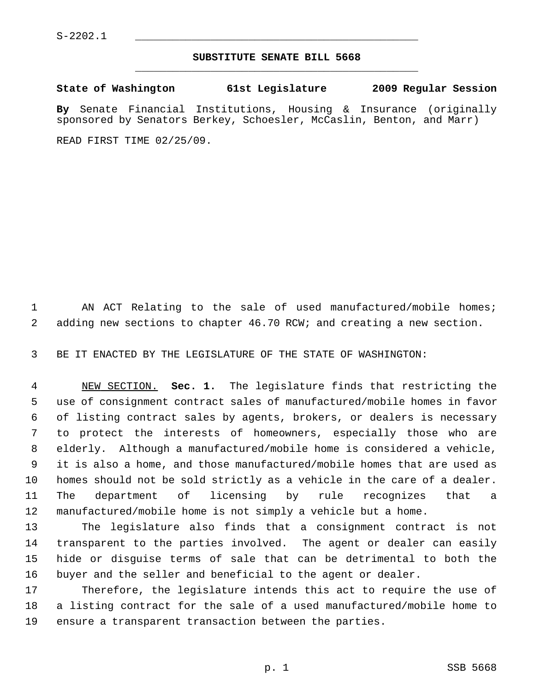## **SUBSTITUTE SENATE BILL 5668** \_\_\_\_\_\_\_\_\_\_\_\_\_\_\_\_\_\_\_\_\_\_\_\_\_\_\_\_\_\_\_\_\_\_\_\_\_\_\_\_\_\_\_\_\_

**State of Washington 61st Legislature 2009 Regular Session By** Senate Financial Institutions, Housing & Insurance (originally sponsored by Senators Berkey, Schoesler, McCaslin, Benton, and Marr)

READ FIRST TIME 02/25/09.

1 AN ACT Relating to the sale of used manufactured/mobile homes; 2 adding new sections to chapter 46.70 RCW; and creating a new section.

3 BE IT ENACTED BY THE LEGISLATURE OF THE STATE OF WASHINGTON:

 4 NEW SECTION. **Sec. 1.** The legislature finds that restricting the 5 use of consignment contract sales of manufactured/mobile homes in favor 6 of listing contract sales by agents, brokers, or dealers is necessary 7 to protect the interests of homeowners, especially those who are 8 elderly. Although a manufactured/mobile home is considered a vehicle, 9 it is also a home, and those manufactured/mobile homes that are used as 10 homes should not be sold strictly as a vehicle in the care of a dealer. 11 The department of licensing by rule recognizes that a 12 manufactured/mobile home is not simply a vehicle but a home.

13 The legislature also finds that a consignment contract is not 14 transparent to the parties involved. The agent or dealer can easily 15 hide or disguise terms of sale that can be detrimental to both the 16 buyer and the seller and beneficial to the agent or dealer.

17 Therefore, the legislature intends this act to require the use of 18 a listing contract for the sale of a used manufactured/mobile home to 19 ensure a transparent transaction between the parties.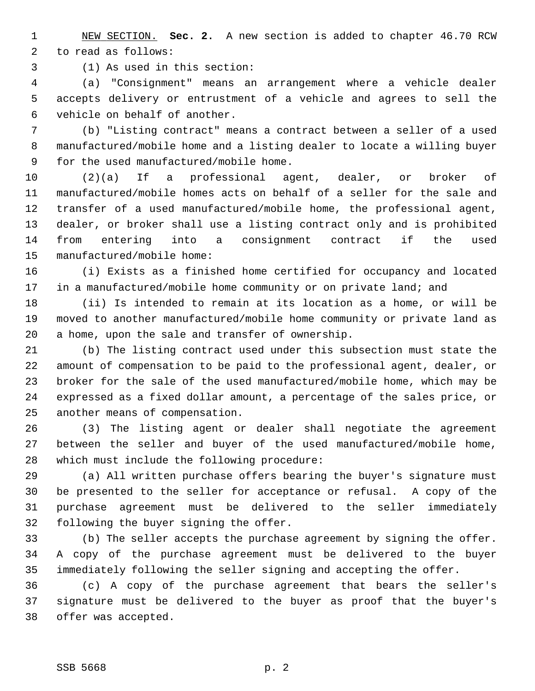1 NEW SECTION. **Sec. 2.** A new section is added to chapter 46.70 RCW 2 to read as follows:

3 (1) As used in this section:

 4 (a) "Consignment" means an arrangement where a vehicle dealer 5 accepts delivery or entrustment of a vehicle and agrees to sell the 6 vehicle on behalf of another.

 7 (b) "Listing contract" means a contract between a seller of a used 8 manufactured/mobile home and a listing dealer to locate a willing buyer 9 for the used manufactured/mobile home.

10 (2)(a) If a professional agent, dealer, or broker of 11 manufactured/mobile homes acts on behalf of a seller for the sale and 12 transfer of a used manufactured/mobile home, the professional agent, 13 dealer, or broker shall use a listing contract only and is prohibited 14 from entering into a consignment contract if the used 15 manufactured/mobile home:

16 (i) Exists as a finished home certified for occupancy and located 17 in a manufactured/mobile home community or on private land; and

18 (ii) Is intended to remain at its location as a home, or will be 19 moved to another manufactured/mobile home community or private land as 20 a home, upon the sale and transfer of ownership.

21 (b) The listing contract used under this subsection must state the 22 amount of compensation to be paid to the professional agent, dealer, or 23 broker for the sale of the used manufactured/mobile home, which may be 24 expressed as a fixed dollar amount, a percentage of the sales price, or 25 another means of compensation.

26 (3) The listing agent or dealer shall negotiate the agreement 27 between the seller and buyer of the used manufactured/mobile home, 28 which must include the following procedure:

29 (a) All written purchase offers bearing the buyer's signature must 30 be presented to the seller for acceptance or refusal. A copy of the 31 purchase agreement must be delivered to the seller immediately 32 following the buyer signing the offer.

33 (b) The seller accepts the purchase agreement by signing the offer. 34 A copy of the purchase agreement must be delivered to the buyer 35 immediately following the seller signing and accepting the offer.

36 (c) A copy of the purchase agreement that bears the seller's 37 signature must be delivered to the buyer as proof that the buyer's 38 offer was accepted.